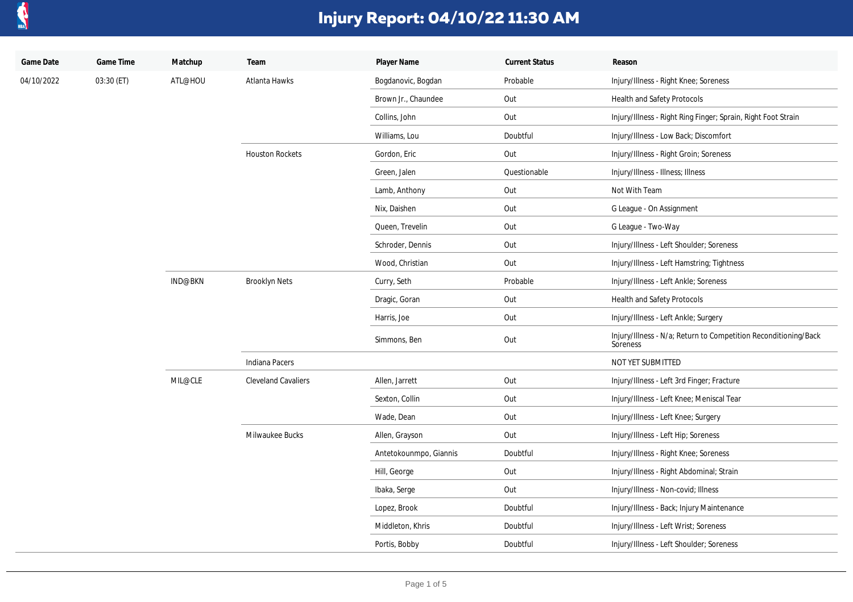

| Game Date  | Game Time  | Matchup | Team                       | Player Name            | <b>Current Status</b> | Reason                                                                      |
|------------|------------|---------|----------------------------|------------------------|-----------------------|-----------------------------------------------------------------------------|
| 04/10/2022 | 03:30 (ET) | ATL@HOU | Atlanta Hawks              | Bogdanovic, Bogdan     | Probable              | Injury/Illness - Right Knee; Soreness                                       |
|            |            |         |                            | Brown Jr., Chaundee    | Out                   | Health and Safety Protocols                                                 |
|            |            |         |                            | Collins, John          | Out                   | Injury/Illness - Right Ring Finger; Sprain, Right Foot Strain               |
|            |            |         |                            | Williams, Lou          | Doubtful              | Injury/Illness - Low Back; Discomfort                                       |
|            |            |         | <b>Houston Rockets</b>     | Gordon, Eric           | Out                   | Injury/Illness - Right Groin; Soreness                                      |
|            |            |         |                            | Green, Jalen           | Questionable          | Injury/Illness - Illness; Illness                                           |
|            |            |         |                            | Lamb, Anthony          | Out                   | Not With Team                                                               |
|            |            |         |                            | Nix, Daishen           | Out                   | G League - On Assignment                                                    |
|            |            |         |                            | Queen, Trevelin        | Out                   | G League - Two-Way                                                          |
|            |            |         |                            | Schroder, Dennis       | Out                   | Injury/Illness - Left Shoulder; Soreness                                    |
|            |            |         |                            | Wood, Christian        | Out                   | Injury/Illness - Left Hamstring; Tightness                                  |
|            |            | IND@BKN | <b>Brooklyn Nets</b>       | Curry, Seth            | Probable              | Injury/Illness - Left Ankle; Soreness                                       |
|            |            |         |                            | Dragic, Goran          | Out                   | Health and Safety Protocols                                                 |
|            |            |         |                            | Harris, Joe            | Out                   | Injury/Illness - Left Ankle; Surgery                                        |
|            |            |         |                            | Simmons, Ben           | Out                   | Injury/Illness - N/a; Return to Competition Reconditioning/Back<br>Soreness |
|            |            |         | Indiana Pacers             |                        |                       | NOT YET SUBMITTED                                                           |
|            |            | MIL@CLE | <b>Cleveland Cavaliers</b> | Allen, Jarrett         | Out                   | Injury/Illness - Left 3rd Finger; Fracture                                  |
|            |            |         |                            | Sexton, Collin         | Out                   | Injury/Illness - Left Knee; Meniscal Tear                                   |
|            |            |         |                            | Wade, Dean             | Out                   | Injury/Illness - Left Knee; Surgery                                         |
|            |            |         | Milwaukee Bucks            | Allen, Grayson         | Out                   | Injury/Illness - Left Hip; Soreness                                         |
|            |            |         |                            | Antetokounmpo, Giannis | Doubtful              | Injury/Illness - Right Knee; Soreness                                       |
|            |            |         |                            | Hill, George           | Out                   | Injury/Illness - Right Abdominal; Strain                                    |
|            |            |         |                            | Ibaka, Serge           | Out                   | Injury/Illness - Non-covid; Illness                                         |
|            |            |         |                            | Lopez, Brook           | Doubtful              | Injury/Illness - Back; Injury Maintenance                                   |
|            |            |         |                            | Middleton, Khris       | Doubtful              | Injury/Illness - Left Wrist; Soreness                                       |
|            |            |         |                            | Portis, Bobby          | Doubtful              | Injury/Illness - Left Shoulder; Soreness                                    |
|            |            |         |                            |                        |                       |                                                                             |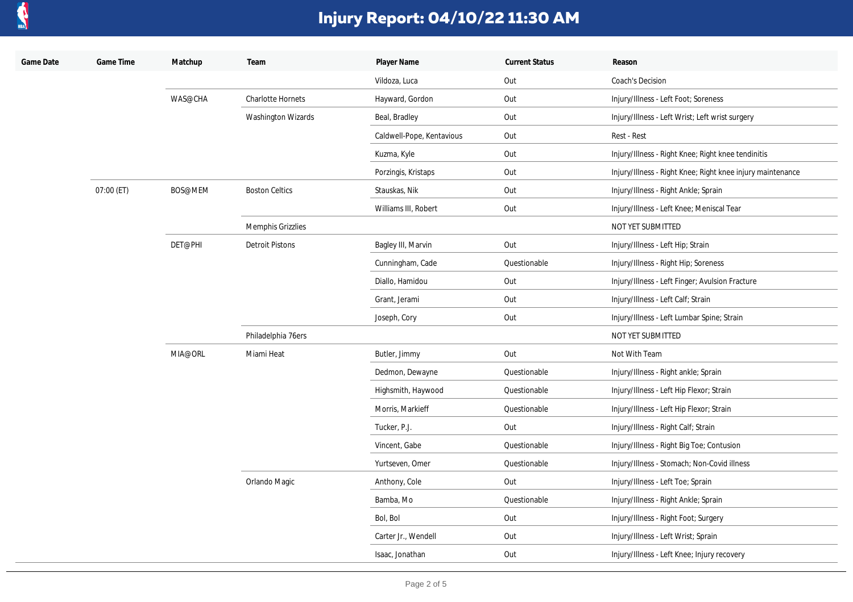

| Game Date | Game Time  | Matchup | Team                     | Player Name               | <b>Current Status</b> | Reason                                                     |
|-----------|------------|---------|--------------------------|---------------------------|-----------------------|------------------------------------------------------------|
|           |            |         |                          | Vildoza, Luca             | Out                   | Coach's Decision                                           |
|           |            | WAS@CHA | <b>Charlotte Hornets</b> | Hayward, Gordon           | Out                   | Injury/Illness - Left Foot; Soreness                       |
|           |            |         | Washington Wizards       | Beal, Bradley             | Out                   | Injury/Illness - Left Wrist; Left wrist surgery            |
|           |            |         |                          | Caldwell-Pope, Kentavious | Out                   | Rest - Rest                                                |
|           |            |         |                          | Kuzma, Kyle               | Out                   | Injury/Illness - Right Knee; Right knee tendinitis         |
|           |            |         |                          | Porzingis, Kristaps       | Out                   | Injury/Illness - Right Knee; Right knee injury maintenance |
|           | 07:00 (ET) | BOS@MEM | <b>Boston Celtics</b>    | Stauskas, Nik             | Out                   | Injury/Illness - Right Ankle; Sprain                       |
|           |            |         |                          | Williams III, Robert      | Out                   | Injury/Illness - Left Knee; Meniscal Tear                  |
|           |            |         | Memphis Grizzlies        |                           |                       | NOT YET SUBMITTED                                          |
|           |            | DET@PHI | <b>Detroit Pistons</b>   | Bagley III, Marvin        | Out                   | Injury/Illness - Left Hip; Strain                          |
|           |            |         |                          | Cunningham, Cade          | Questionable          | Injury/Illness - Right Hip; Soreness                       |
|           |            |         |                          | Diallo, Hamidou           | Out                   | Injury/Illness - Left Finger; Avulsion Fracture            |
|           |            |         |                          | Grant, Jerami             | Out                   | Injury/Illness - Left Calf; Strain                         |
|           |            |         |                          | Joseph, Cory              | Out                   | Injury/Illness - Left Lumbar Spine; Strain                 |
|           |            |         | Philadelphia 76ers       |                           |                       | NOT YET SUBMITTED                                          |
|           |            | MIA@ORL | Miami Heat               | Butler, Jimmy             | Out                   | Not With Team                                              |
|           |            |         |                          | Dedmon, Dewayne           | Questionable          | Injury/Illness - Right ankle; Sprain                       |
|           |            |         |                          | Highsmith, Haywood        | Questionable          | Injury/Illness - Left Hip Flexor; Strain                   |
|           |            |         |                          | Morris, Markieff          | Questionable          | Injury/Illness - Left Hip Flexor; Strain                   |
|           |            |         |                          | Tucker, P.J.              | Out                   | Injury/Illness - Right Calf; Strain                        |
|           |            |         |                          | Vincent, Gabe             | Questionable          | Injury/Illness - Right Big Toe; Contusion                  |
|           |            |         |                          | Yurtseven, Omer           | Questionable          | Injury/Illness - Stomach; Non-Covid illness                |
|           |            |         | Orlando Magic            | Anthony, Cole             | Out                   | Injury/Illness - Left Toe; Sprain                          |
|           |            |         |                          | Bamba, Mo                 | Questionable          | Injury/Illness - Right Ankle; Sprain                       |
|           |            |         |                          | Bol, Bol                  | Out                   | Injury/Illness - Right Foot; Surgery                       |
|           |            |         |                          | Carter Jr., Wendell       | Out                   | Injury/Illness - Left Wrist; Sprain                        |
|           |            |         |                          | Isaac, Jonathan           | Out                   | Injury/Illness - Left Knee; Injury recovery                |
|           |            |         |                          |                           |                       |                                                            |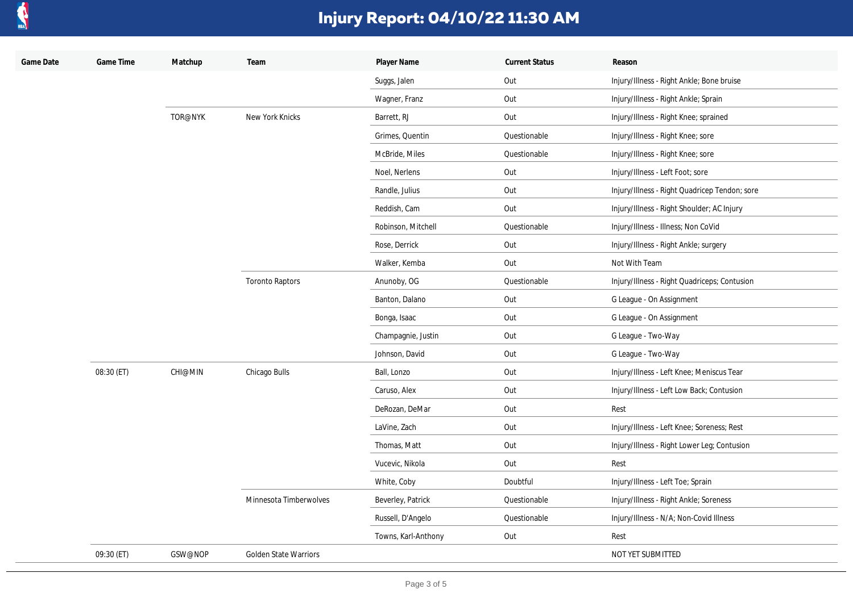

| Game Date | Game Time  | Matchup        | Team                         | Player Name         | <b>Current Status</b> | Reason                                        |
|-----------|------------|----------------|------------------------------|---------------------|-----------------------|-----------------------------------------------|
|           |            |                |                              | Suggs, Jalen        | Out                   | Injury/Illness - Right Ankle; Bone bruise     |
|           |            |                |                              | Wagner, Franz       | Out                   | Injury/Illness - Right Ankle; Sprain          |
|           |            | TOR@NYK        | New York Knicks              | Barrett, RJ         | Out                   | Injury/Illness - Right Knee; sprained         |
|           |            |                |                              | Grimes, Quentin     | Questionable          | Injury/Illness - Right Knee; sore             |
|           |            |                |                              | McBride, Miles      | Questionable          | Injury/Illness - Right Knee; sore             |
|           |            |                |                              | Noel, Nerlens       | Out                   | Injury/Illness - Left Foot; sore              |
|           |            |                |                              | Randle, Julius      | Out                   | Injury/Illness - Right Quadricep Tendon; sore |
|           |            |                |                              | Reddish, Cam        | Out                   | Injury/Illness - Right Shoulder; AC Injury    |
|           |            |                |                              | Robinson, Mitchell  | Questionable          | Injury/Illness - Illness; Non CoVid           |
|           |            |                |                              | Rose, Derrick       | Out                   | Injury/Illness - Right Ankle; surgery         |
|           |            |                |                              | Walker, Kemba       | Out                   | Not With Team                                 |
|           |            |                | <b>Toronto Raptors</b>       | Anunoby, OG         | Questionable          | Injury/Illness - Right Quadriceps; Contusion  |
|           |            |                |                              | Banton, Dalano      | Out                   | G League - On Assignment                      |
|           |            |                |                              | Bonga, Isaac        | Out                   | G League - On Assignment                      |
|           |            |                |                              | Champagnie, Justin  | Out                   | G League - Two-Way                            |
|           |            |                |                              | Johnson, David      | Out                   | G League - Two-Way                            |
|           | 08:30 (ET) | <b>CHI@MIN</b> | Chicago Bulls                | Ball, Lonzo         | Out                   | Injury/Illness - Left Knee; Meniscus Tear     |
|           |            |                |                              | Caruso, Alex        | Out                   | Injury/Illness - Left Low Back; Contusion     |
|           |            |                |                              | DeRozan, DeMar      | Out                   | Rest                                          |
|           |            |                |                              | LaVine, Zach        | Out                   | Injury/Illness - Left Knee; Soreness; Rest    |
|           |            |                |                              | Thomas, Matt        | Out                   | Injury/Illness - Right Lower Leg; Contusion   |
|           |            |                |                              | Vucevic, Nikola     | Out                   | Rest                                          |
|           |            |                |                              | White, Coby         | Doubtful              | Injury/Illness - Left Toe; Sprain             |
|           |            |                | Minnesota Timberwolves       | Beverley, Patrick   | Questionable          | Injury/Illness - Right Ankle; Soreness        |
|           |            |                |                              | Russell, D'Angelo   | Questionable          | Injury/Illness - N/A; Non-Covid Illness       |
|           |            |                |                              | Towns, Karl-Anthony | Out                   | Rest                                          |
|           | 09:30 (ET) | GSW@NOP        | <b>Golden State Warriors</b> |                     |                       | NOT YET SUBMITTED                             |
|           |            |                |                              |                     |                       |                                               |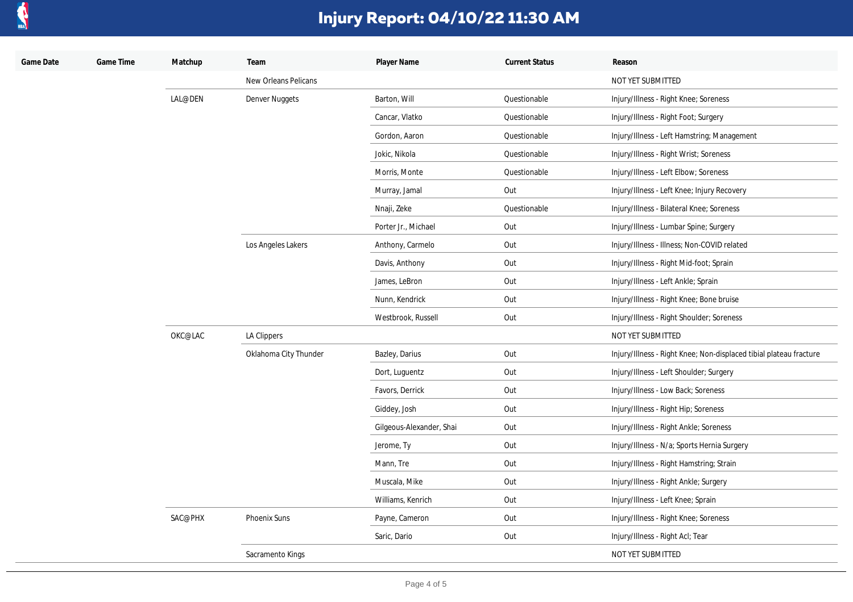

| Game Date | Game Time | Matchup | Team                        | Player Name              | <b>Current Status</b> | Reason                                                             |
|-----------|-----------|---------|-----------------------------|--------------------------|-----------------------|--------------------------------------------------------------------|
|           |           |         | <b>New Orleans Pelicans</b> |                          |                       | NOT YET SUBMITTED                                                  |
|           |           | LAL@DEN | Denver Nuggets              | Barton, Will             | Questionable          | Injury/Illness - Right Knee; Soreness                              |
|           |           |         |                             | Cancar, Vlatko           | Questionable          | Injury/Illness - Right Foot; Surgery                               |
|           |           |         |                             | Gordon, Aaron            | Questionable          | Injury/Illness - Left Hamstring; Management                        |
|           |           |         |                             | Jokic, Nikola            | Questionable          | Injury/Illness - Right Wrist; Soreness                             |
|           |           |         |                             | Morris, Monte            | Questionable          | Injury/Illness - Left Elbow; Soreness                              |
|           |           |         |                             | Murray, Jamal            | Out                   | Injury/Illness - Left Knee; Injury Recovery                        |
|           |           |         |                             | Nnaji, Zeke              | Questionable          | Injury/Illness - Bilateral Knee; Soreness                          |
|           |           |         |                             | Porter Jr., Michael      | Out                   | Injury/Illness - Lumbar Spine; Surgery                             |
|           |           |         | Los Angeles Lakers          | Anthony, Carmelo         | Out                   | Injury/Illness - Illness; Non-COVID related                        |
|           |           |         |                             | Davis, Anthony           | Out                   | Injury/Illness - Right Mid-foot; Sprain                            |
|           |           |         |                             | James, LeBron            | Out                   | Injury/Illness - Left Ankle; Sprain                                |
|           |           |         |                             | Nunn, Kendrick           | Out                   | Injury/Illness - Right Knee; Bone bruise                           |
|           |           |         |                             | Westbrook, Russell       | Out                   | Injury/Illness - Right Shoulder; Soreness                          |
|           |           | OKC@LAC | LA Clippers                 |                          |                       | NOT YET SUBMITTED                                                  |
|           |           |         | Oklahoma City Thunder       | Bazley, Darius           | Out                   | Injury/Illness - Right Knee; Non-displaced tibial plateau fracture |
|           |           |         |                             | Dort, Luguentz           | Out                   | Injury/Illness - Left Shoulder; Surgery                            |
|           |           |         |                             | Favors, Derrick          | Out                   | Injury/Illness - Low Back; Soreness                                |
|           |           |         |                             | Giddey, Josh             | Out                   | Injury/Illness - Right Hip; Soreness                               |
|           |           |         |                             | Gilgeous-Alexander, Shai | Out                   | Injury/Illness - Right Ankle; Soreness                             |
|           |           |         |                             | Jerome, Ty               | Out                   | Injury/Illness - N/a; Sports Hernia Surgery                        |
|           |           |         |                             | Mann, Tre                | Out                   | Injury/Illness - Right Hamstring; Strain                           |
|           |           |         |                             | Muscala, Mike            | Out                   | Injury/Illness - Right Ankle; Surgery                              |
|           |           |         |                             | Williams, Kenrich        | Out                   | Injury/Illness - Left Knee; Sprain                                 |
|           |           | SAC@PHX | Phoenix Suns                | Payne, Cameron           | Out                   | Injury/Illness - Right Knee; Soreness                              |
|           |           |         |                             | Saric, Dario             | Out                   | Injury/Illness - Right Acl; Tear                                   |
|           |           |         | Sacramento Kings            |                          |                       | NOT YET SUBMITTED                                                  |
|           |           |         |                             |                          |                       |                                                                    |